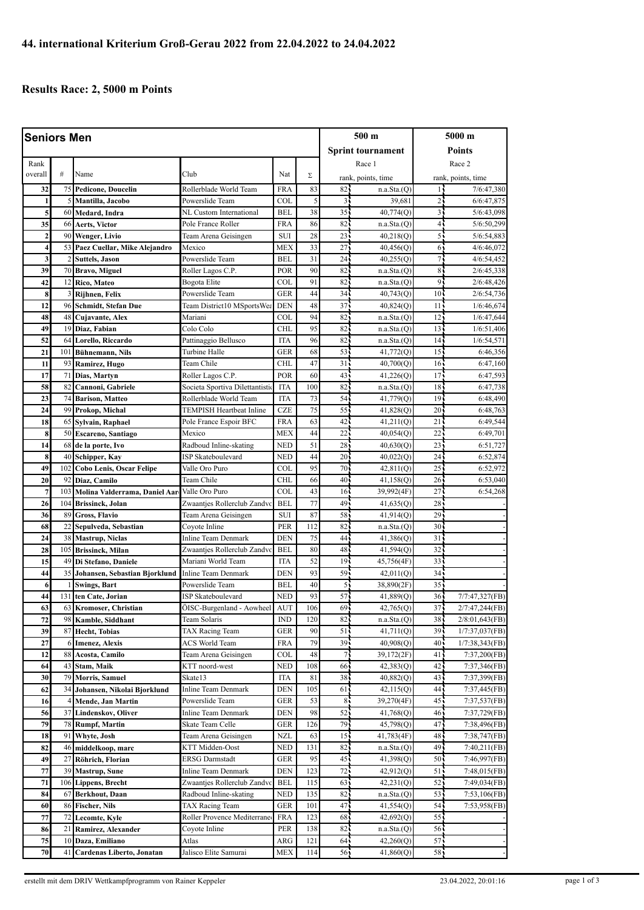## **Results Race: 2, 5000 m Points**

| <b>Seniors Men</b> |                |                                               |                                               |            | 500 m      |                          | 5000 m                   |                                    |                                  |
|--------------------|----------------|-----------------------------------------------|-----------------------------------------------|------------|------------|--------------------------|--------------------------|------------------------------------|----------------------------------|
|                    |                |                                               |                                               |            |            | <b>Sprint tournament</b> |                          | <b>Points</b>                      |                                  |
| Rank               |                |                                               |                                               |            |            |                          | Race 1                   | Race 2                             |                                  |
| overall            | #              | Name                                          | Club                                          | Nat        | Σ          | rank, points, time       |                          | rank, points, time                 |                                  |
| 32                 | 75             | <b>Pedicone, Doucelin</b>                     | Rollerblade World Team                        | <b>FRA</b> | 83         | 82.                      | n.a.Sta.(Q)              | 15                                 | 7/6:47,380                       |
| 1                  | 5              | Mantilla, Jacobo                              | Powerslide Team                               | <b>COL</b> | 5          | $\overline{3}$           | 39,681                   | 25                                 | 6/6:47,875                       |
| 5                  | 60             | Medard, Indra                                 | NL Custom International                       | <b>BEL</b> | 38         | 35 <sup>2</sup>          | 40,774(Q)                | $\overline{3}$                     | 5/6:43,098                       |
| 35                 |                | 66 Aerts, Victor                              | Pole France Roller                            | <b>FRA</b> | 86         | 82                       | n.a.Sta.(Q)              | $\overline{4}$                     | 5/6:50,299                       |
| $\overline{2}$     |                | 90 Wenger, Livio                              | Team Arena Geisingen                          | <b>SUI</b> | 28         | 23                       | 40,218(0)                | 5                                  | 5/6:54,883                       |
| 4                  |                | 53 Paez Cuellar, Mike Alejandro               | Mexico                                        | <b>MEX</b> | 33         | 27 <sup>1</sup>          | 40,456(Q)                | 6                                  | 4/6:46,072                       |
| 3                  | $\overline{c}$ | <b>Suttels</b> , Jason                        | Powerslide Team                               | <b>BEL</b> | 31         | 24                       | 40,255(Q)                | 7,                                 | 4/6:54,452                       |
| 39                 |                | 70 Bravo, Miguel                              | Roller Lagos C.P.                             | POR        | 90         | 82                       | n.a.Sta.(O)              | 8 <sup>1</sup>                     | 2/6:45,338                       |
| 42                 |                | 12 Rico, Mateo                                | Bogota Elite                                  | COL        | 91         | 82                       | n.a.Sta.(Q)              | 9 <sub>1</sub>                     | 2/6:48,426                       |
| 8                  | 3              | Rijhnen, Felix                                | Powerslide Team                               | <b>GER</b> | 44         | 34                       | 40,743(Q)                | 10 <sub>1</sub>                    | 2/6:54,736                       |
| 12                 |                | 96 Schmidt, Stefan Due                        | Team District10 MSportsWe                     | <b>DEN</b> | 48         | 37                       | 40,824(Q)                | 11 <sub>5</sub>                    | 1/6:46,674                       |
| 48                 | 48             | Cujavante, Alex                               | Mariani                                       | COL        | 94         | 82                       | n.a.Sta.(Q)              | 12 <sup>7</sup>                    | 1/6:47,644                       |
| 49                 | 19             | Diaz, Fabian                                  | Colo Colo                                     | <b>CHL</b> | 95         | 82                       | n.a.Sta.(Q)              | 13                                 | 1/6:51,406                       |
| 52                 |                | 64 Lorello, Riccardo                          | Pattinaggio Bellusco                          | <b>ITA</b> | 96         | 82                       | n.a.Sta.(Q)              | 14 <sub>5</sub>                    | 1/6:54,571                       |
| 21                 |                | 101 Bühnemann, Nils                           | Turbine Halle                                 | <b>GER</b> | 68         | 53                       | 41,772(Q)                | 15 <sup>2</sup>                    | 6:46,356                         |
| 11                 |                | 93 Ramirez, Hugo                              | Team Chile                                    | <b>CHL</b> | 47         | 31                       | 40,700(Q)                | 16 <sub>1</sub>                    | 6:47,160                         |
| 17                 | 71             | Dias, Martyn                                  | Roller Lagos C.P.                             | POR        | 60         | 43                       | 41,226(Q)                | 17.                                | 6:47,593                         |
| 58                 | 82             | Cannoni, Gabriele                             | Societa Sportiva Dilettantisti                | <b>ITA</b> | 100        | 82                       | n.a.Sta.(Q)              | 18                                 | 6:47,738                         |
| 23                 | 74             | <b>Barison, Matteo</b>                        | Rollerblade World Team                        | <b>ITA</b> | 73         | 54                       | 41,779(Q)                | 19 <sub>1</sub>                    | 6:48,490                         |
| 24                 | 99             | Prokop, Michal                                | TEMPISH Heartbeat Inline                      | <b>CZE</b> | 75         | 55                       | 41,828(Q)                | 20 <sub>1</sub>                    | 6:48,763                         |
| 18                 | 65             | Sylvain, Raphael                              | Pole France Espoir BFC                        | <b>FRA</b> | 63         | 42                       | 41,211(Q)                | 21                                 | 6:49,544                         |
| 8                  | 50             | Escareno, Santiago                            | Mexico                                        | <b>MEX</b> | 44         | 22                       | 40,054(Q)                | 22                                 | 6:49,701                         |
| 14                 |                | 68 de la porte, Ivo                           | Radboud Inline-skating                        | <b>NED</b> | 51         | 28                       | 40,630(Q)                | $23 -$                             | 6:51,727                         |
| 8                  | 40             | Schipper, Kay                                 | ISP Skateboulevard                            | <b>NED</b> | 44         | 20                       | 40,022(Q)                | 24 <sup>2</sup>                    | 6:52,874                         |
| 49                 | 102            | Cobo Lenis, Oscar Felipe                      | Valle Oro Puro                                | <b>COL</b> | 95         | 70                       | 42,811(Q)                | 25                                 | 6:52,972                         |
| 20                 | 92             | Diaz, Camilo                                  | Team Chile                                    | <b>CHL</b> | 66         | 40                       | 41,158(Q)                | $26 -$                             | 6:53,040                         |
| $\overline{7}$     | 103            | Molina Valderrama, Daniel Aar                 | Valle Oro Puro                                | COL        | 43         | 16 <sup>1</sup>          | 39,992(4F)               | $27^{-}$                           | 6:54,268                         |
| 26                 | 104            | Brissinck, Jolan                              | Zwaantjes Rollerclub Zandvo                   | <b>BEL</b> | 77         | 49                       | 41,635(Q)                | 28                                 |                                  |
| 36                 | 89             | <b>Gross, Flavio</b>                          | Team Arena Geisingen                          | <b>SUI</b> | 87         | 58                       | 41,914(Q)                | $29 -$                             |                                  |
| 68                 | 22             | Sepulveda, Sebastian                          | Coyote Inline                                 | <b>PER</b> | 112        | 82                       | n.a.Sta.(Q)              | 30 <sup>7</sup>                    |                                  |
| 24                 | 38             | <b>Mastrup, Niclas</b>                        | Inline Team Denmark                           | <b>DEN</b> | 75         | 44                       | 41,386(Q)                | 31                                 |                                  |
| 28                 | 105            | <b>Brissinck, Milan</b>                       | Zwaantjes Rollerclub Zandvo                   | <b>BEL</b> | 80         | 48                       | 41,594(Q)                | 32 <sub>1</sub>                    |                                  |
| 15                 | 49             | Di Stefano, Daniele                           | Mariani World Team                            | <b>ITA</b> | 52         | 19 <sup>1</sup>          | 45,756(4F)               | 33 <sup>2</sup>                    |                                  |
| 44                 | 35             | Johansen, Sebastian Bjorklund                 | Inline Team Denmark                           | <b>DEN</b> | 93         | 59                       | 42,011(Q)                | 34                                 |                                  |
| 6                  | 1              | <b>Swings, Bart</b>                           | Powerslide Team<br><b>ISP Skateboulevard</b>  | <b>BEL</b> | 40<br>93   | 5,                       | 38,890(2F)               | 35 <sub>1</sub>                    |                                  |
| 44                 | 131            | ten Cate, Jorian                              |                                               | <b>NED</b> |            | 57<br>$69 -$             | 41,889(Q)<br>42,765(0)   | 36 <sub>1</sub><br>37 <sup>1</sup> | 7/7:47,327(FB)<br>2/7:47,244(FB) |
| 63<br>72           |                | 63 Kromoser, Christian<br>98 Kamble, Siddhant | OISC-Burgenland - Aowheel AUT<br>Team Solaris | IND        | 106<br>120 | 82.                      |                          | 38                                 |                                  |
| 39                 |                | 87 Hecht, Tobias                              |                                               | GER        | 90         | 51                       | n.a.Sta.(Q)<br>41,711(Q) | 39                                 | 2/8:01,643(FB)                   |
| 27                 | 6              | <b>Imenez</b> , Alexis                        | TAX Racing Team<br><b>ACS World Team</b>      | <b>FRA</b> | 79         | 39                       | 40,908(Q)                | 40                                 | 1/7:37,037(FB)<br>1/7:38,343(FB) |
| 12                 | 88             | Acosta, Camilo                                | Team Arena Geisingen                          | COL        | 48         | 7,                       | 39,172(2F)               | 41                                 | 7:37,200(FB)                     |
| 64                 |                | 43 Stam, Maik                                 | KTT noord-west                                | <b>NED</b> | 108        | 66,                      | 42,383(Q)                | 42.                                | 7:37,346(FB)                     |
| 30                 | 79             | Morris, Samuel                                | Skate13                                       | <b>ITA</b> | 81         | 38                       | 40,882(Q)                | 43                                 | 7:37,399(FB)                     |
| 62                 |                | 34 Johansen, Nikolai Bjorklund                | Inline Team Denmark                           | <b>DEN</b> | 105        | 61                       | 42,115(Q)                | 44                                 | 7:37,445(FB)                     |
| 16                 |                | 4 Mende, Jan Martin                           | Powerslide Team                               | <b>GER</b> | 53         | 8 <sub>1</sub>           | 39,270(4F)               | 45                                 | 7:37,537(FB)                     |
| 56                 | 37             | Lindenskov, Oliver                            | <b>Inline Team Denmark</b>                    | <b>DEN</b> | 98         | 52                       | 41,768(Q)                | 46 <sub>1</sub>                    | 7:37,729(FB)                     |
| 79                 |                | 78 Rumpf, Martin                              | Skate Team Celle                              | GER        | 126        | 79.                      | 45,798(Q)                | 47.                                | 7:38,496(FB)                     |
| 18                 |                | 91 Whyte, Josh                                | Team Arena Geisingen                          | NZL        | 63         | 15 <sub>1</sub>          | 41,783(4F)               | 48                                 | 7:38,747(FB)                     |
| 82                 | 46             | middelkoop, marc                              | KTT Midden-Oost                               | <b>NED</b> | 131        | 82                       | n.a.Sta.(Q)              | 49                                 | 7:40,211(FB)                     |
| 49                 | 27             | Röhrich, Florian                              | <b>ERSG Darmstadt</b>                         | <b>GER</b> | 95         | 45 <sub>1</sub>          | 41,398(Q)                | 50 <sub>1</sub>                    | 7:46,997(FB)                     |
| 77                 | 39             | <b>Mastrup</b> , Sune                         | Inline Team Denmark                           | <b>DEN</b> | 123        | 72                       | 42,912(Q)                | 51,                                | 7:48,015(FB)                     |
| 71                 | 106            | <b>Lippens, Brecht</b>                        | Zwaantjes Rollerclub Zandv                    | BEL        | 115        | 63                       | 42,231(Q)                | 52                                 | 7:49,034(FB)                     |
| 84                 | 67             | Berkhout, Daan                                | Radboud Inline-skating                        | <b>NED</b> | 135        | 82                       | n.a.Sta.(Q)              | 53                                 | 7:53,106(FB)                     |
| 60                 | 86             | <b>Fischer</b> , Nils                         | TAX Racing Team                               | <b>GER</b> | 101        | 47                       | 41,554(Q)                | 54                                 | 7:53,958(FB)                     |
| 77                 | 72             | Lecomte, Kyle                                 | Roller Provence Mediterrane                   | <b>FRA</b> | 123        | 68                       | 42,692(Q)                | 55                                 |                                  |
| 86                 |                | 21 Ramirez, Alexander                         | Coyote Inline                                 | PER        | 138        | 82                       | n.a.Sta.(Q)              | 56                                 |                                  |
| 75                 |                | 10 Daza, Emiliano                             | Atlas                                         | ARG        | 121        | 64:                      | 42,260(Q)                | 57,                                |                                  |
| 70                 | 41             | Cardenas Liberto, Jonatan                     | Jalisco Elite Samurai                         | <b>MEX</b> | 114        | 56                       | 41,860(Q)                | 58 <sup>1</sup>                    |                                  |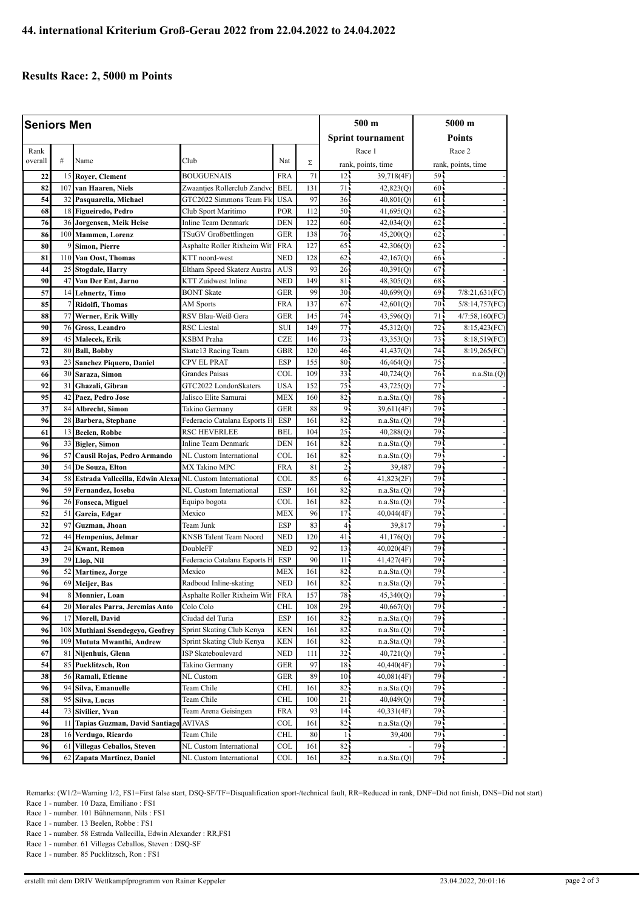## **Results Race: 2, 5000 m Points**

| <b>Seniors Men</b> |     |                                                             |                              |                             |     | 500 m                    |             | 5000 m                       |                |
|--------------------|-----|-------------------------------------------------------------|------------------------------|-----------------------------|-----|--------------------------|-------------|------------------------------|----------------|
|                    |     |                                                             |                              |                             |     | <b>Sprint tournament</b> |             | Points                       |                |
|                    |     |                                                             |                              |                             |     |                          | Race 1      |                              |                |
| Rank<br>overall    | #   | Name                                                        | Club                         | Nat                         | Σ   | rank, points, time       |             | Race 2<br>rank, points, time |                |
| 22                 | 15  | <b>Royer, Clement</b>                                       | <b>BOUGUENAIS</b>            | <b>FRA</b>                  | 71  | 12 <sup>1</sup>          | 39,718(4F)  | 59.                          |                |
| 82                 | 107 | van Haaren, Niels                                           | Zwaantjes Rollerclub Zandvo  | <b>BEL</b>                  | 131 | 71                       | 42,823(Q)   | $60 -$                       |                |
| 54                 |     | 32 Pasquarella, Michael                                     | GTC2022 Simmons Team Flo     | <b>USA</b>                  | 97  | 36 <sub>1</sub>          | 40,801(Q)   | 61                           |                |
| 68                 |     | 18 Figueiredo, Pedro                                        | Club Sport Maritimo          | POR                         | 112 | 50 <sub>1</sub>          | 41,695(Q)   | 62                           |                |
| 76                 |     | 36 Jorgensen, Meik Heise                                    | Inline Team Denmark          | <b>DEN</b>                  | 122 | 60                       | 42,034(Q)   | 62 <sub>1</sub>              |                |
| 86                 |     | 100 Mammen, Lorenz                                          | TSuGV Großbettlingen         | <b>GER</b>                  | 138 | 76                       | 45,200(Q)   | 62                           |                |
| 80                 | 9   | Simon, Pierre                                               | Asphalte Roller Rixheim Wit  | <b>FRA</b>                  | 127 | 65                       | 42,306(Q)   | 62                           |                |
| 81                 |     | 110 Van Oost, Thomas                                        | KTT noord-west               | <b>NED</b>                  | 128 | 62                       | 42,167(Q)   | 66                           |                |
| 44                 |     | 25 Stogdale, Harry                                          | Eltham Speed Skaterz Austra  | <b>AUS</b>                  | 93  | 26 <sub>1</sub>          | 40,391(Q)   | 67                           |                |
| 90                 | 47  | Van Der Ent, Jarno                                          | <b>KTT</b> Zuidwest Inline   | <b>NED</b>                  | 149 | 81                       | 48,305(Q)   | 68                           |                |
| 57                 |     | 14 Lehnertz, Timo                                           | <b>BONT Skate</b>            | <b>GER</b>                  | 99  | 30 <sup>1</sup>          | 40,699(Q)   | 69                           | 7/8:21,631(FC) |
| 85                 | 7   | Ridolfi, Thomas                                             | AM Sports                    | <b>FRA</b>                  | 137 | 67                       | 42,601(Q)   | 70                           | 5/8:14,757(FC) |
| 88                 |     | 77 Werner, Erik Willy                                       | RSV Blau-Weiß Gera           | <b>GER</b>                  | 145 | 74                       | 43,596(Q)   | 71                           | 4/7:58,160(FC) |
| 90                 |     | 76 Gross, Leandro                                           | <b>RSC</b> Liestal           | SUI                         | 149 | 77.                      | 45,312(Q)   | 72 <sub>1</sub>              | 8:15,423(FC)   |
| 89                 |     | 45 Malecek, Erik                                            | <b>KSBM</b> Praha            | <b>CZE</b>                  | 146 | 73                       | 43,353(Q)   | 73                           | 8:18,519(FC)   |
| 72                 |     | 80 Ball, Bobby                                              | Skate13 Racing Team          | <b>GBR</b>                  | 120 | 46                       | 41,437(Q)   | 74 <sub>1</sub>              | 8:19,265(FC)   |
| 93                 |     | 23 Sanchez Piquero, Daniel                                  | CPV EL PRAT                  | <b>ESP</b>                  | 155 | 80                       | 46,464(Q)   | 75 <sub>1</sub>              |                |
| 66                 |     | 30 Saraza, Simon                                            | Grandes Paisas               | COL                         | 109 | 33                       | 40,724(Q)   | 76                           | n.a.Sta.(Q)    |
| 92                 | 31  | Ghazali, Gibran                                             | GTC2022 LondonSkaters        | <b>USA</b>                  | 152 | 75                       | 43,725(Q)   | 77                           |                |
| 95                 | 42  | Paez, Pedro Jose                                            | Jalisco Elite Samurai        | <b>MEX</b>                  | 160 | 82                       | n.a.Sta.(Q) | 78                           |                |
| 37                 |     | 84 Albrecht, Simon                                          | Takino Germany               | <b>GER</b>                  | 88  | 9,                       | 39,611(4F)  | 79                           |                |
| 96                 | 28  | Barbera, Stephane                                           | Federacio Catalana Esports H | <b>ESP</b>                  | 161 | 82                       | n.a.Sta.(Q) | 79                           |                |
| 61                 |     | 13 Beelen, Robbe                                            | <b>RSC HEVERLEE</b>          | <b>BEL</b>                  | 104 | $25 -$                   | 40,288(Q)   | 79                           |                |
| 96                 |     | 33 Bigler, Simon                                            | <b>Inline Team Denmark</b>   | <b>DEN</b>                  | 161 | 82                       | n.a.Sta.(Q) | 79i                          |                |
| 96                 | 57  | Causil Rojas, Pedro Armando                                 | NL Custom International      | COL                         | 161 | 82                       | n.a.Sta.(Q) | 79                           |                |
| 30                 |     | 54 De Souza, Elton                                          | MX Takino MPC                | <b>FRA</b>                  | 81  | 25                       | 39,487      | 79                           |                |
| 34                 |     | 58 Estrada Vallecilla, Edwin Alexal NL Custom International |                              | COL                         | 85  | 6                        | 41,823(2F)  | 79                           |                |
| 96                 |     | 59 Fernandez, Ioseba                                        | NL Custom International      | <b>ESP</b>                  | 161 | 82                       | n.a.Sta.(Q) | 79                           |                |
| 96                 |     | 26 Fonseca, Miguel                                          | Equipo bogota                | COL                         | 161 | 82                       | n.a.Sta.(Q) | 79                           |                |
| 52                 |     | 51 Garcia, Edgar                                            | Mexico                       | MEX                         | 96  | 17 <sup>1</sup>          | 40,044(4F)  | 79                           |                |
| 32                 | 97  | Guzman, Jhoan                                               | Team Junk                    | <b>ESP</b>                  | 83  | $\overline{4}$           | 39,817      | 79                           |                |
| 72                 |     | 44 Hempenius, Jelmar                                        | KNSB Talent Team Noord       | <b>NED</b>                  | 120 | 41 <sub>1</sub>          | 41,176(Q)   | 79 <sub>1</sub>              |                |
| 43                 |     | 24 Kwant, Remon                                             | DoubleFF                     | <b>NED</b>                  | 92  | 13 <sup>1</sup>          | 40,020(4F)  | 79                           |                |
| 39                 | 29  | Llop, Nil                                                   | Federacio Catalana Esports H | <b>ESP</b>                  | 90  | 11                       | 41,427(4F)  | 79                           |                |
| 96                 |     | 52 Martinez, Jorge                                          | Mexico                       | MEX                         | 161 | 82                       | n.a.Sta.(Q) | 79.                          |                |
| 96                 |     | 69 Meijer, Bas                                              | Radboud Inline-skating       | <b>NED</b>                  | 161 | 82                       | n.a.Sta.(Q) | 79.                          |                |
| 94                 |     | 8 Monnier, Loan                                             | Asphalte Roller Rixheim Wit  | ${\rm FRA}$                 | 157 | 78                       | 45,340(Q)   | 79                           |                |
| 64                 |     | 20 Morales Parra, Jeremias Anto                             | Colo Colo                    | CHL                         | 108 | $29 -$                   | 40,667(Q)   | 79.                          |                |
| 96                 | 17  | Morell, David                                               | Ciudad del Turia             | ESP                         | 161 | 82                       | n.a.Sta.(Q) | 79.                          |                |
| 96                 |     | 108 Muthiani Ssendegeyo, Geofrey                            | Sprint Skating Club Kenya    | KEN                         | 161 | 82                       | n.a.Sta(Q)  | 79                           |                |
| 96                 |     | 109 Mututa Mwanthi, Andrew                                  | Sprint Skating Club Kenya    | KEN                         | 161 | 82.                      | n.a.Sta.(Q) | 79.                          |                |
| 67                 |     | 81 Nijenhuis, Glenn                                         | ISP Skateboulevard           | <b>NED</b>                  | 111 | 32 <sub>1</sub>          | 40,721(Q)   | 79.                          |                |
| 54                 | 85  | Pucklitzsch, Ron                                            | Takino Germany               | <b>GER</b>                  | 97  | 18                       | 40,440(4F)  | 79.                          |                |
| 38                 |     | 56 Ramali, Etienne                                          | NL Custom                    | GER                         | 89  | 10 <sub>1</sub>          | 40,081(4F)  | 79.                          |                |
| 96                 |     | 94 Silva, Emanuelle                                         | Team Chile                   | CHL                         | 161 | 82.                      | n.a.Sta.(Q) | 79.                          |                |
| 58                 | 95  | Silva, Lucas                                                | Team Chile                   | CHL                         | 100 | 21                       | 40,049(Q)   | 79                           |                |
| 44                 |     | 73 Sivilier, Yvan                                           | Team Arena Geisingen         | FRA                         | 93  | 14 <sub>1</sub>          | 40,331(4F)  | 79.                          |                |
| 96                 | 11  | Tapias Guzman, David Santiago                               | AVIVAS                       | COL                         | 161 | 82                       | n.a.Sta.(Q) | 79.                          |                |
| 28                 |     | 16 Verdugo, Ricardo                                         | Team Chile                   | $\mathop{\rm CHL}\nolimits$ | 80  | 14                       | 39,400      | 79.                          |                |
| 96                 |     | 61 Villegas Ceballos, Steven                                | NL Custom International      | COL                         | 161 | 82.                      |             | 79.                          |                |
| 96                 |     | 62 Zapata Martinez, Daniel                                  | NL Custom International      | COL                         | 161 | 82.                      | n.a.Sta.(Q) | 79                           |                |
|                    |     |                                                             |                              |                             |     |                          |             |                              |                |

Remarks: (W1/2=Warning 1/2, FS1=First false start, DSQ-SF/TF=Disqualification sport-/technical fault, RR=Reduced in rank, DNF=Did not finish, DNS=Did not start) Race 1 - number. 10 Daza, Emiliano : FS1

Race 1 - number. 101 Bühnemann, Nils : FS1

Race 1 - number. 13 Beelen, Robbe : FS1

Race 1 - number. 58 Estrada Vallecilla, Edwin Alexander : RR,FS1

Race 1 - number. 61 Villegas Ceballos, Steven : DSQ-SF

Race 1 - number. 85 Pucklitzsch, Ron : FS1